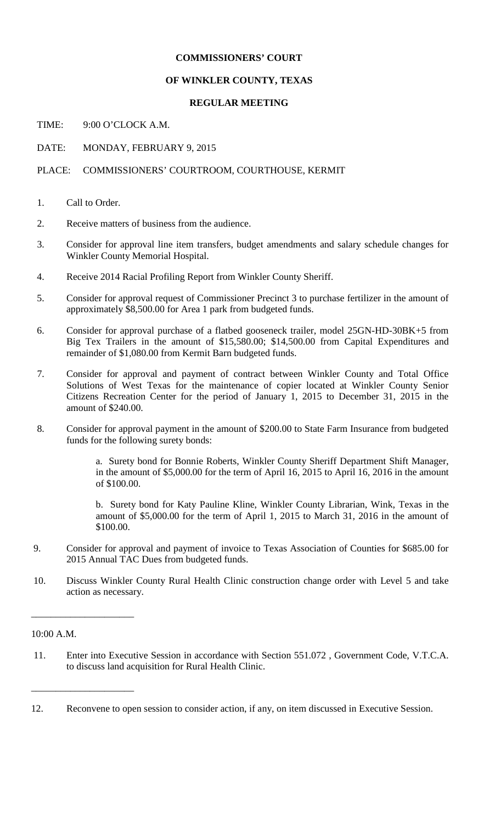# **COMMISSIONERS' COURT**

## **OF WINKLER COUNTY, TEXAS**

## **REGULAR MEETING**

TIME: 9:00 O'CLOCK A.M.

DATE: MONDAY, FEBRUARY 9, 2015

# PLACE: COMMISSIONERS' COURTROOM, COURTHOUSE, KERMIT

- 1. Call to Order.
- 2. Receive matters of business from the audience.
- 3. Consider for approval line item transfers, budget amendments and salary schedule changes for Winkler County Memorial Hospital.
- 4. Receive 2014 Racial Profiling Report from Winkler County Sheriff.
- 5. Consider for approval request of Commissioner Precinct 3 to purchase fertilizer in the amount of approximately \$8,500.00 for Area 1 park from budgeted funds.
- 6. Consider for approval purchase of a flatbed gooseneck trailer, model 25GN-HD-30BK+5 from Big Tex Trailers in the amount of \$15,580.00; \$14,500.00 from Capital Expenditures and remainder of \$1,080.00 from Kermit Barn budgeted funds.
- 7. Consider for approval and payment of contract between Winkler County and Total Office Solutions of West Texas for the maintenance of copier located at Winkler County Senior Citizens Recreation Center for the period of January 1, 2015 to December 31, 2015 in the amount of \$240.00.
- 8. Consider for approval payment in the amount of \$200.00 to State Farm Insurance from budgeted funds for the following surety bonds:

a. Surety bond for Bonnie Roberts, Winkler County Sheriff Department Shift Manager, in the amount of \$5,000.00 for the term of April 16, 2015 to April 16, 2016 in the amount of \$100.00.

b. Surety bond for Katy Pauline Kline, Winkler County Librarian, Wink, Texas in the amount of \$5,000.00 for the term of April 1, 2015 to March 31, 2016 in the amount of \$100.00.

- 9. Consider for approval and payment of invoice to Texas Association of Counties for \$685.00 for 2015 Annual TAC Dues from budgeted funds.
- 10. Discuss Winkler County Rural Health Clinic construction change order with Level 5 and take action as necessary.

#### 10:00 A.M.

\_\_\_\_\_\_\_\_\_\_\_\_\_\_\_\_\_\_\_\_\_

\_\_\_\_\_\_\_\_\_\_\_\_\_\_\_\_\_\_\_\_\_

11. Enter into Executive Session in accordance with Section 551.072 , Government Code, V.T.C.A. to discuss land acquisition for Rural Health Clinic.

<sup>12.</sup> Reconvene to open session to consider action, if any, on item discussed in Executive Session.